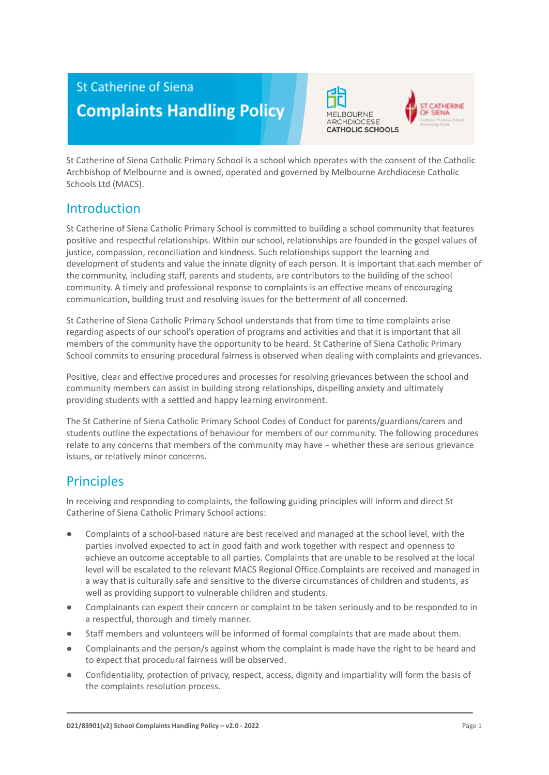# **St Catherine of Siena Complaints Handling Policy**



St Catherine of Siena Catholic Primary School is a school which operates with the consent of the Catholic Archbishop of Melbourne and is owned, operated and governed by Melbourne Archdiocese Catholic Schools Ltd (MACS).

### Introduction

St Catherine of Siena Catholic Primary School is committed to building a school community that features positive and respectful relationships. Within our school, relationships are founded in the gospel values of justice, compassion, reconciliation and kindness. Such relationships support the learning and development of students and value the innate dignity of each person. It is important that each member of the community, including staff, parents and students, are contributors to the building of the school community. A timely and professional response to complaints is an effective means of encouraging communication, building trust and resolving issues for the betterment of all concerned.

St Catherine of Siena Catholic Primary School understands that from time to time complaints arise regarding aspects of our school's operation of programs and activities and that it is important that all members of the community have the opportunity to be heard. St Catherine of Siena Catholic Primary School commits to ensuring procedural fairness is observed when dealing with complaints and grievances.

Positive, clear and effective procedures and processes for resolving grievances between the school and community members can assist in building strong relationships, dispelling anxiety and ultimately providing students with a settled and happy learning environment.

The St Catherine of Siena Catholic Primary School Codes of Conduct for parents/guardians/carers and students outline the expectations of behaviour for members of our community. The following procedures relate to any concerns that members of the community may have – whether these are serious grievance issues, or relatively minor concerns.

### **Principles**

In receiving and responding to complaints, the following guiding principles will inform and direct St Catherine of Siena Catholic Primary School actions:

- Complaints of a school-based nature are best received and managed at the school level, with the parties involved expected to act in good faith and work together with respect and openness to achieve an outcome acceptable to all parties. Complaints that are unable to be resolved at the local level will be escalated to the relevant MACS Regional Office.Complaints are received and managed in a way that is culturally safe and sensitive to the diverse circumstances of children and students, as well as providing support to vulnerable children and students.
- Complainants can expect their concern or complaint to be taken seriously and to be responded to in a respectful, thorough and timely manner.
- Staff members and volunteers will be informed of formal complaints that are made about them.
- Complainants and the person/s against whom the complaint is made have the right to be heard and to expect that procedural fairness will be observed.
- Confidentiality, protection of privacy, respect, access, dignity and impartiality will form the basis of the complaints resolution process.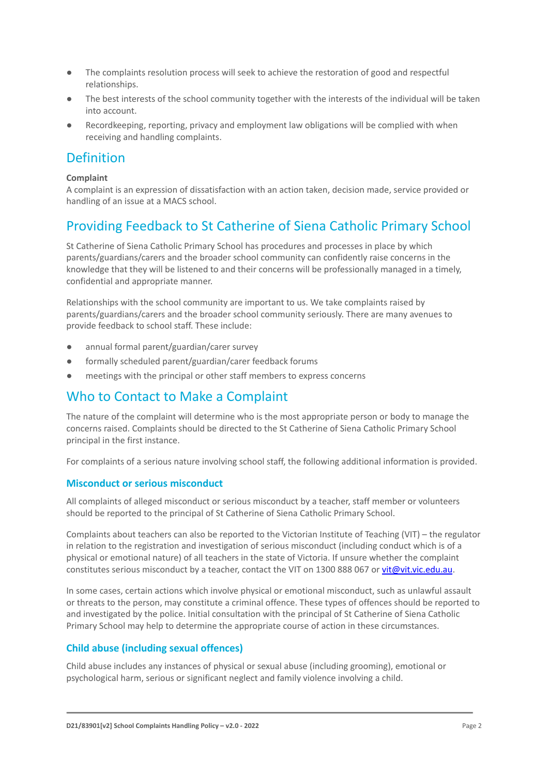- The complaints resolution process will seek to achieve the restoration of good and respectful relationships.
- The best interests of the school community together with the interests of the individual will be taken into account.
- Recordkeeping, reporting, privacy and employment law obligations will be complied with when receiving and handling complaints.

### Definition

#### **Complaint**

A complaint is an expression of dissatisfaction with an action taken, decision made, service provided or handling of an issue at a MACS school.

### Providing Feedback to St Catherine of Siena Catholic Primary School

St Catherine of Siena Catholic Primary School has procedures and processes in place by which parents/guardians/carers and the broader school community can confidently raise concerns in the knowledge that they will be listened to and their concerns will be professionally managed in a timely, confidential and appropriate manner.

Relationships with the school community are important to us. We take complaints raised by parents/guardians/carers and the broader school community seriously. There are many avenues to provide feedback to school staff. These include:

- annual formal parent/guardian/carer survey
- formally scheduled parent/guardian/carer feedback forums
- meetings with the principal or other staff members to express concerns

### Who to Contact to Make a Complaint

The nature of the complaint will determine who is the most appropriate person or body to manage the concerns raised. Complaints should be directed to the St Catherine of Siena Catholic Primary School principal in the first instance.

For complaints of a serious nature involving school staff, the following additional information is provided.

#### **Misconduct or serious misconduct**

All complaints of alleged misconduct or serious misconduct by a teacher, staff member or volunteers should be reported to the principal of St Catherine of Siena Catholic Primary School.

Complaints about teachers can also be reported to the Victorian Institute of Teaching (VIT) – the regulator in relation to the registration and investigation of serious misconduct (including conduct which is of a physical or emotional nature) of all teachers in the state of Victoria. If unsure whether the complaint constitutes serious misconduct by a teacher, contact the VIT on 1300 888 067 or [vit@vit.vic.edu.au](mailto:vit@vit.vic.edu.au).

In some cases, certain actions which involve physical or emotional misconduct, such as unlawful assault or threats to the person, may constitute a criminal offence. These types of offences should be reported to and investigated by the police. Initial consultation with the principal of St Catherine of Siena Catholic Primary School may help to determine the appropriate course of action in these circumstances.

### **Child abuse (including sexual offences)**

Child abuse includes any instances of physical or sexual abuse (including grooming), emotional or psychological harm, serious or significant neglect and family violence involving a child.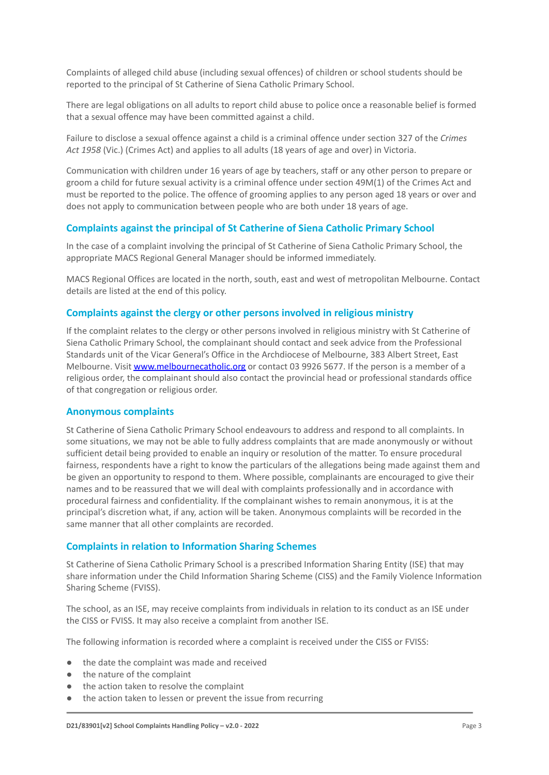Complaints of alleged child abuse (including sexual offences) of children or school students should be reported to the principal of St Catherine of Siena Catholic Primary School.

There are legal obligations on all adults to report child abuse to police once a reasonable belief is formed that a sexual offence may have been committed against a child.

Failure to disclose a sexual offence against a child is a criminal offence under section 327 of the *Crimes Act 1958* (Vic.) (Crimes Act) and applies to all adults (18 years of age and over) in Victoria.

Communication with children under 16 years of age by teachers, staff or any other person to prepare or groom a child for future sexual activity is a criminal offence under section 49M(1) of the Crimes Act and must be reported to the police. The offence of grooming applies to any person aged 18 years or over and does not apply to communication between people who are both under 18 years of age.

#### **Complaints against the principal of St Catherine of Siena Catholic Primary School**

In the case of a complaint involving the principal of St Catherine of Siena Catholic Primary School, the appropriate MACS Regional General Manager should be informed immediately.

MACS Regional Offices are located in the north, south, east and west of metropolitan Melbourne. Contact details are listed at the end of this policy.

#### **Complaints against the clergy or other persons involved in religious ministry**

If the complaint relates to the clergy or other persons involved in religious ministry with St Catherine of Siena Catholic Primary School, the complainant should contact and seek advice from the Professional Standards unit of the Vicar General's Office in the Archdiocese of Melbourne, 383 Albert Street, East Melbourne. Visit [www.melbournecatholic.org](http://www.melbournecatholic.org) or contact 03 9926 5677. If the person is a member of a religious order, the complainant should also contact the provincial head or professional standards office of that congregation or religious order.

#### **Anonymous complaints**

St Catherine of Siena Catholic Primary School endeavours to address and respond to all complaints. In some situations, we may not be able to fully address complaints that are made anonymously or without sufficient detail being provided to enable an inquiry or resolution of the matter. To ensure procedural fairness, respondents have a right to know the particulars of the allegations being made against them and be given an opportunity to respond to them. Where possible, complainants are encouraged to give their names and to be reassured that we will deal with complaints professionally and in accordance with procedural fairness and confidentiality. If the complainant wishes to remain anonymous, it is at the principal's discretion what, if any, action will be taken. Anonymous complaints will be recorded in the same manner that all other complaints are recorded.

#### **Complaints in relation to Information Sharing Schemes**

St Catherine of Siena Catholic Primary School is a prescribed Information Sharing Entity (ISE) that may share information under the Child Information Sharing Scheme (CISS) and the Family Violence Information Sharing Scheme (FVISS).

The school, as an ISE, may receive complaints from individuals in relation to its conduct as an ISE under the CISS or FVISS. It may also receive a complaint from another ISE.

The following information is recorded where a complaint is received under the CISS or FVISS:

- the date the complaint was made and received
- the nature of the complaint
- the action taken to resolve the complaint
- the action taken to lessen or prevent the issue from recurring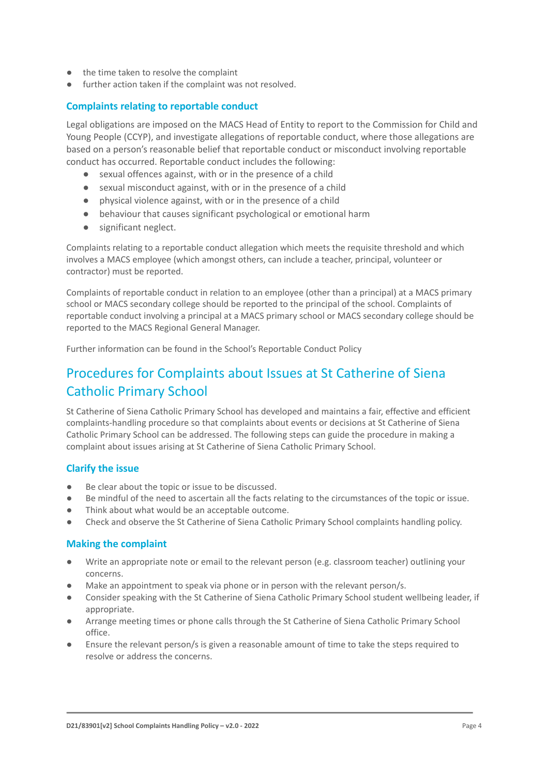- the time taken to resolve the complaint
- further action taken if the complaint was not resolved.

#### **Complaints relating to reportable conduct**

Legal obligations are imposed on the MACS Head of Entity to report to the Commission for Child and Young People (CCYP), and investigate allegations of reportable conduct, where those allegations are based on a person's reasonable belief that reportable conduct or misconduct involving reportable conduct has occurred. Reportable conduct includes the following:

- sexual offences against, with or in the presence of a child
- sexual misconduct against, with or in the presence of a child
- physical violence against, with or in the presence of a child
- behaviour that causes significant psychological or emotional harm
- significant neglect.

Complaints relating to a reportable conduct allegation which meets the requisite threshold and which involves a MACS employee (which amongst others, can include a teacher, principal, volunteer or contractor) must be reported.

Complaints of reportable conduct in relation to an employee (other than a principal) at a MACS primary school or MACS secondary college should be reported to the principal of the school. Complaints of reportable conduct involving a principal at a MACS primary school or MACS secondary college should be reported to the MACS Regional General Manager.

Further information can be found in the School's Reportable Conduct Policy

### Procedures for Complaints about Issues at St Catherine of Siena Catholic Primary School

St Catherine of Siena Catholic Primary School has developed and maintains a fair, effective and efficient complaints-handling procedure so that complaints about events or decisions at St Catherine of Siena Catholic Primary School can be addressed. The following steps can guide the procedure in making a complaint about issues arising at St Catherine of Siena Catholic Primary School.

#### **Clarify the issue**

- Be clear about the topic or issue to be discussed.
- Be mindful of the need to ascertain all the facts relating to the circumstances of the topic or issue.
- Think about what would be an acceptable outcome.
- Check and observe the St Catherine of Siena Catholic Primary School complaints handling policy.

#### **Making the complaint**

- Write an appropriate note or email to the relevant person (e.g. classroom teacher) outlining your concerns.
- Make an appointment to speak via phone or in person with the relevant person/s.
- Consider speaking with the St Catherine of Siena Catholic Primary School student wellbeing leader, if appropriate.
- Arrange meeting times or phone calls through the St Catherine of Siena Catholic Primary School office.
- Ensure the relevant person/s is given a reasonable amount of time to take the steps required to resolve or address the concerns.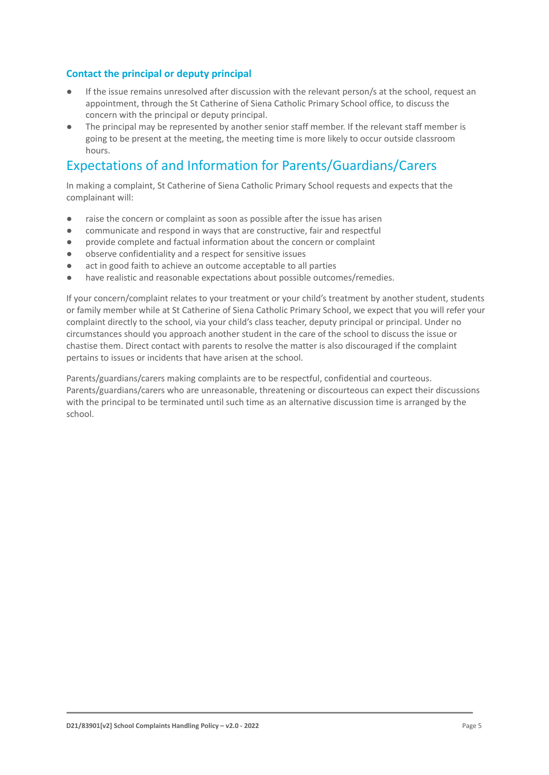#### **Contact the principal or deputy principal**

- If the issue remains unresolved after discussion with the relevant person/s at the school, request an appointment, through the St Catherine of Siena Catholic Primary School office, to discuss the concern with the principal or deputy principal.
- The principal may be represented by another senior staff member. If the relevant staff member is going to be present at the meeting, the meeting time is more likely to occur outside classroom hours.

### Expectations of and Information for Parents/Guardians/Carers

In making a complaint, St Catherine of Siena Catholic Primary School requests and expects that the complainant will:

- raise the concern or complaint as soon as possible after the issue has arisen
- communicate and respond in ways that are constructive, fair and respectful
- provide complete and factual information about the concern or complaint
- observe confidentiality and a respect for sensitive issues
- act in good faith to achieve an outcome acceptable to all parties
- have realistic and reasonable expectations about possible outcomes/remedies.

If your concern/complaint relates to your treatment or your child's treatment by another student, students or family member while at St Catherine of Siena Catholic Primary School, we expect that you will refer your complaint directly to the school, via your child's class teacher, deputy principal or principal. Under no circumstances should you approach another student in the care of the school to discuss the issue or chastise them. Direct contact with parents to resolve the matter is also discouraged if the complaint pertains to issues or incidents that have arisen at the school.

Parents/guardians/carers making complaints are to be respectful, confidential and courteous. Parents/guardians/carers who are unreasonable, threatening or discourteous can expect their discussions with the principal to be terminated until such time as an alternative discussion time is arranged by the school.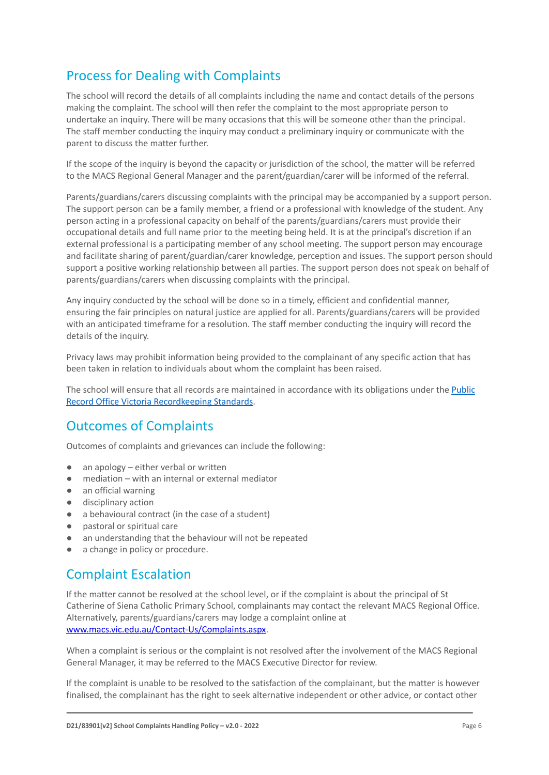# Process for Dealing with Complaints

The school will record the details of all complaints including the name and contact details of the persons making the complaint. The school will then refer the complaint to the most appropriate person to undertake an inquiry. There will be many occasions that this will be someone other than the principal. The staff member conducting the inquiry may conduct a preliminary inquiry or communicate with the parent to discuss the matter further.

If the scope of the inquiry is beyond the capacity or jurisdiction of the school, the matter will be referred to the MACS Regional General Manager and the parent/guardian/carer will be informed of the referral.

Parents/guardians/carers discussing complaints with the principal may be accompanied by a support person. The support person can be a family member, a friend or a professional with knowledge of the student. Any person acting in a professional capacity on behalf of the parents/guardians/carers must provide their occupational details and full name prior to the meeting being held. It is at the principal's discretion if an external professional is a participating member of any school meeting. The support person may encourage and facilitate sharing of parent/guardian/carer knowledge, perception and issues. The support person should support a positive working relationship between all parties. The support person does not speak on behalf of parents/guardians/carers when discussing complaints with the principal.

Any inquiry conducted by the school will be done so in a timely, efficient and confidential manner, ensuring the fair principles on natural justice are applied for all. Parents/guardians/carers will be provided with an anticipated timeframe for a resolution. The staff member conducting the inquiry will record the details of the inquiry.

Privacy laws may prohibit information being provided to the complainant of any specific action that has been taken in relation to individuals about whom the complaint has been raised.

The school will ensure that all records are maintained in accordance with its obligations under the [Public](https://prov.vic.gov.au/recordkeeping-government/standards-framework) [Record Office Victoria Recordkeeping Standards.](https://prov.vic.gov.au/recordkeeping-government/standards-framework)

### Outcomes of Complaints

Outcomes of complaints and grievances can include the following:

- an apology either verbal or written
- mediation with an internal or external mediator
- an official warning
- disciplinary action
- a behavioural contract (in the case of a student)
- pastoral or spiritual care
- an understanding that the behaviour will not be repeated
- a change in policy or procedure.

### Complaint Escalation

If the matter cannot be resolved at the school level, or if the complaint is about the principal of St Catherine of Siena Catholic Primary School, complainants may contact the relevant MACS Regional Office. Alternatively, parents/guardians/carers may lodge a complaint online at [www.macs.vic.edu.au/Contact-Us/Complaints.aspx.](http://www.macs.vic.edu.au/Contact-Us/Complaints.aspx)

When a complaint is serious or the complaint is not resolved after the involvement of the MACS Regional General Manager, it may be referred to the MACS Executive Director for review.

If the complaint is unable to be resolved to the satisfaction of the complainant, but the matter is however finalised, the complainant has the right to seek alternative independent or other advice, or contact other